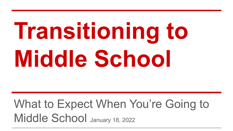# **Transitioning to Middle School**

### What to Expect When You're Going to Middle School January 18, 2022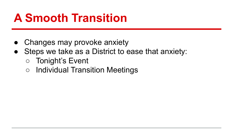### **A Smooth Transition**

- Changes may provoke anxiety
- Steps we take as a District to ease that anxiety:
	- Tonight's Event
	- Individual Transition Meetings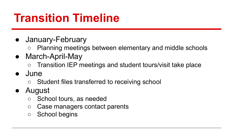### **Transition Timeline**

- January-February
	- Planning meetings between elementary and middle schools
- March-April-May
	- Transition IEP meetings and student tours/visit take place
- June
	- Student files transferred to receiving school
- August
	- School tours, as needed
	- Case managers contact parents
	- School begins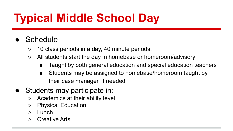# **Typical Middle School Day**

- Schedule
	- 10 class periods in a day, 40 minute periods.
	- All students start the day in homebase or homeroom/advisory
		- Taught by both general education and special education teachers
		- Students may be assigned to homebase/homeroom taught by their case manager, if needed
- Students may participate in:
	- Academics at their ability level
	- Physical Education
	- Lunch
	- Creative Arts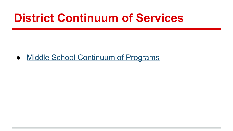#### **District Continuum of Services**

● [Middle School Continuum of Programs](https://docs.google.com/document/d/1bwW7DtggjETo0NsdXN7WDAK1T3wspLrXwuovJ2mUhHE/edit?usp=sharing)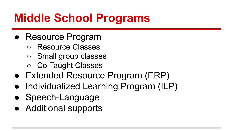# **Middle School Programs**

- Resource Program
	- Resource Classes
	- Small group classes
	- Co-Taught Classes
- Extended Resource Program (ERP)
- Individualized Learning Program (ILP)
- Speech-Language
- Additional supports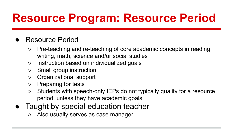# **Resource Program: Resource Period**

#### **Resource Period**

- Pre-teaching and re-teaching of core academic concepts in reading, writing, math, science and/or social studies
- Instruction based on individualized goals
- Small group instruction
- Organizational support
- Preparing for tests
- Students with speech-only IEPs do not typically qualify for a resource period, unless they have academic goals
- Taught by special education teacher
	- Also usually serves as case manager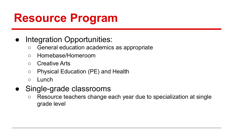### **Resource Program**

#### Integration Opportunities:

- General education academics as appropriate
- Homebase/Homeroom
- Creative Arts
- Physical Education (PE) and Health
- Lunch
- Single-grade classrooms
	- Resource teachers change each year due to specialization at single grade level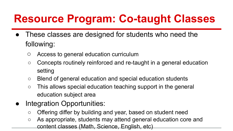### **Resource Program: Co-taught Classes**

- These classes are designed for students who need the following:
	- Access to general education curriculum
	- Concepts routinely reinforced and re-taught in a general education setting
	- Blend of general education and special education students
	- This allows special education teaching support in the general education subject area
- Integration Opportunities:
	- Offering differ by building and year, based on student need
	- As appropriate, students may attend general education core and content classes (Math, Science, English, etc)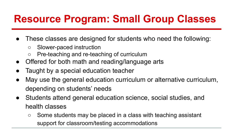#### **Resource Program: Small Group Classes**

- These classes are designed for students who need the following:
	- Slower-paced instruction
	- Pre-teaching and re-teaching of curriculum
- Offered for both math and reading/language arts
- Taught by a special education teacher
- May use the general education curriculum or alternative curriculum, depending on students' needs
- Students attend general education science, social studies, and health classes
	- Some students may be placed in a class with teaching assistant support for classroom/testing accommodations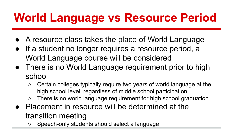# **World Language vs Resource Period**

- A resource class takes the place of World Language
- If a student no longer requires a resource period, a World Language course will be considered
- There is no World Language requirement prior to high school
	- Certain colleges typically require two years of world language at the high school level, regardless of middle school participation
	- There is no world language requirement for high school graduation
- Placement in resource will be determined at the transition meeting
	- Speech-only students should select a language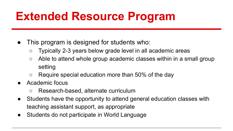# **Extended Resource Program**

- This program is designed for students who:
	- Typically 2-3 years below grade level in all academic areas
	- $\circ$  Able to attend whole group academic classes within in a small group setting
	- $\circ$  Require special education more than 50% of the day
- Academic focus
	- Research-based, alternate curriculum
- Students have the opportunity to attend general education classes with teaching assistant support, as appropriate
- Students do not participate in World Language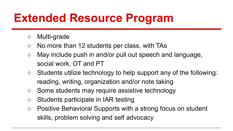# **Extended Resource Program**

- Multi-grade
- **○** No more than 12 students per class, with TAs
- **○** May include push in and/or pull out speech and language, social work, OT and PT
- $\circ$  Students utilize technology to help support any of the following: reading, writing, organization and/or note taking
- Some students may require assistive technology
- Students participate in IAR testing
- Positive Behavioral Supports with a strong focus on student skills, problem solving and self advocacy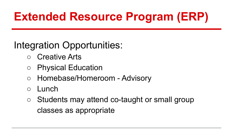# **Extended Resource Program (ERP)**

#### Integration Opportunities:

- **Creative Arts**
- Physical Education
- Homebase/Homeroom Advisory
- Lunch
- Students may attend co-taught or small group classes as appropriate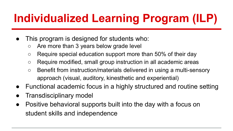# **Individualized Learning Program (ILP)**

- This program is designed for students who:
	- Are more than 3 years below grade level
	- $\circ$  Require special education support more than 50% of their day
	- Require modified, small group instruction in all academic areas
	- Benefit from instruction/materials delivered in using a multi-sensory approach (visual, auditory, kinesthetic and experiential)
- Functional academic focus in a highly structured and routine setting
- **Transdisciplinary model**
- Positive behavioral supports built into the day with a focus on student skills and independence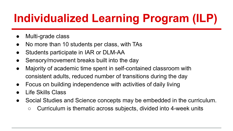# **Individualized Learning Program (ILP)**

- Multi-grade class
- **●** No more than 10 students per class, with TAs
- Students participate in IAR or DLM-AA
- Sensory/movement breaks built into the day
- **●** Majority of academic time spent in self-contained classroom with consistent adults, reduced number of transitions during the day
- **●** Focus on building independence with activities of daily living
- Life Skills Class
- Social Studies and Science concepts may be embedded in the curriculum.
	- Curriculum is thematic across subjects, divided into 4-week units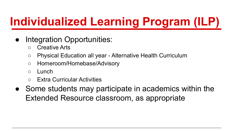# **Individualized Learning Program (ILP)**

- Integration Opportunities:
	- Creative Arts
	- Physical Education all year Alternative Health Curriculum
	- Homeroom/Homebase/Advisory
	- Lunch
	- **Extra Curricular Activities**
- Some students may participate in academics within the Extended Resource classroom, as appropriate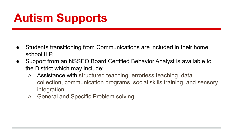# **Autism Supports**

- Students transitioning from Communications are included in their home school II P.
- Support from an NSSEO Board Certified Behavior Analyst is available to the District which may include:
	- Assistance with structured teaching, errorless teaching, data collection, communication programs, social skills training, and sensory integration
	- General and Specific Problem solving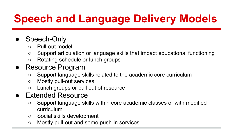# **Speech and Language Delivery Models**

#### ● Speech-Only

- Pull-out model
- Support articulation or language skills that impact educational functioning
- Rotating schedule or lunch groups
- Resource Program
	- Support language skills related to the academic core curriculum
	- Mostly pull-out services
	- Lunch groups or pull out of resource

#### ● Extended Resource

- Support language skills within core academic classes or with modified curriculum
- Social skills development
- Mostly pull-out and some push-in services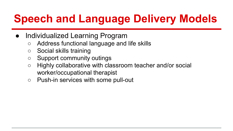### **Speech and Language Delivery Models**

- Individualized Learning Program
	- Address functional language and life skills
	- Social skills training
	- Support community outings
	- Highly collaborative with classroom teacher and/or social worker/occupational therapist
	- Push-in services with some pull-out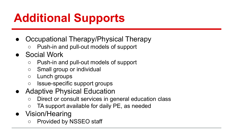# **Additional Supports**

- Occupational Therapy/Physical Therapy
	- Push-in and pull-out models of support
- Social Work
	- Push-in and pull-out models of support
	- Small group or individual
	- Lunch groups
	- Issue-specific support groups
- Adaptive Physical Education
	- Direct or consult services in general education class
	- TA support available for daily PE, as needed
- Vision/Hearing
	- Provided by NSSEO staff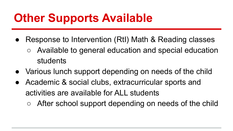### **Other Supports Available**

- Response to Intervention (RtI) Math & Reading classes
	- Available to general education and special education students
- Various lunch support depending on needs of the child
- Academic & social clubs, extracurricular sports and activities are available for ALL students
	- After school support depending on needs of the child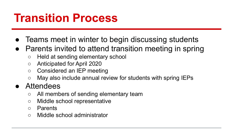#### **Transition Process**

- Teams meet in winter to begin discussing students
- Parents invited to attend transition meeting in spring
	- Held at sending elementary school
	- Anticipated for April 2020
	- Considered an IEP meeting
	- May also include annual review for students with spring IEPs

#### ● Attendees

- All members of sending elementary team
- Middle school representative
- Parents
- Middle school administrator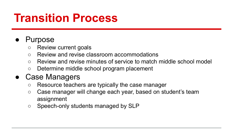#### **Transition Process**

#### **Purpose**

- Review current goals
- Review and revise classroom accommodations
- Review and revise minutes of service to match middle school model
- Determine middle school program placement

#### Case Managers

- Resource teachers are typically the case manager
- Case manager will change each year, based on student's team assignment
- Speech-only students managed by SLP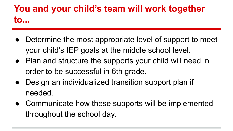#### **You and your child's team will work together to...**

- Determine the most appropriate level of support to meet your child's IEP goals at the middle school level.
- Plan and structure the supports your child will need in order to be successful in 6th grade.
- Design an individualized transition support plan if needed.
- Communicate how these supports will be implemented throughout the school day.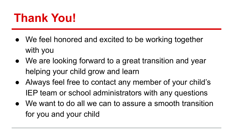### **Thank You!**

- We feel honored and excited to be working together with you
- We are looking forward to a great transition and year helping your child grow and learn
- Always feel free to contact any member of your child's IEP team or school administrators with any questions
- We want to do all we can to assure a smooth transition for you and your child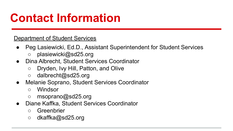# **Contact Information**

Department of Student Services

- Peg Lasiewicki, Ed.D., Assistant Superintendent for Student Services
	- plasiewicki@sd25.org
- Dina Albrecht, Student Services Coordinator
	- Dryden, Ivy Hill, Patton, and Olive
	- dalbrecht@sd25.org
- Melanie Soprano, Student Services Coordinator
	- Windsor
	- msoprano@sd25.org
- Diane Kaffka, Student Services Coordinator
	- Greenbrier
	- dkaffka@sd25.org